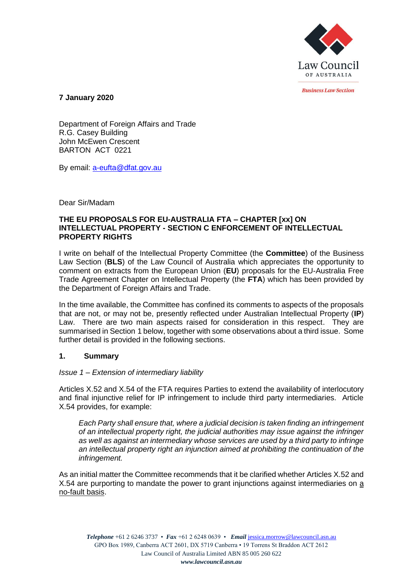

*<u>Rusiness Law Section</u>* 

**7 January 2020**

Department of Foreign Affairs and Trade R.G. Casey Building John McEwen Crescent BARTON ACT 0221

By email: [a-eufta@dfat.gov.au](mailto:a-eufta@dfat.gov.au)

Dear Sir/Madam

### **THE EU PROPOSALS FOR EU-AUSTRALIA FTA – CHAPTER [xx] ON INTELLECTUAL PROPERTY - SECTION C ENFORCEMENT OF INTELLECTUAL PROPERTY RIGHTS**

I write on behalf of the Intellectual Property Committee (the **Committee**) of the Business Law Section (**BLS**) of the Law Council of Australia which appreciates the opportunity to comment on extracts from the European Union (**EU**) proposals for the EU-Australia Free Trade Agreement Chapter on Intellectual Property (the **FTA**) which has been provided by the Department of Foreign Affairs and Trade.

In the time available, the Committee has confined its comments to aspects of the proposals that are not, or may not be, presently reflected under Australian Intellectual Property (**IP**) Law. There are two main aspects raised for consideration in this respect. They are summarised in Section 1 below, together with some observations about a third issue. Some further detail is provided in the following sections.

### **1. Summary**

### *Issue 1 – Extension of intermediary liability*

Articles X.52 and X.54 of the FTA requires Parties to extend the availability of interlocutory and final injunctive relief for IP infringement to include third party intermediaries. Article X.54 provides, for example:

*Each Party shall ensure that, where a judicial decision is taken finding an infringement of an intellectual property right, the judicial authorities may issue against the infringer as well as against an intermediary whose services are used by a third party to infringe an intellectual property right an injunction aimed at prohibiting the continuation of the infringement.*

As an initial matter the Committee recommends that it be clarified whether Articles X.52 and X.54 are purporting to mandate the power to grant injunctions against intermediaries on a no-fault basis.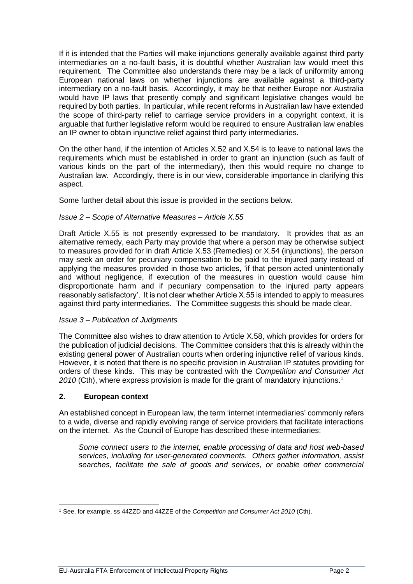If it is intended that the Parties will make injunctions generally available against third party intermediaries on a no-fault basis, it is doubtful whether Australian law would meet this requirement. The Committee also understands there may be a lack of uniformity among European national laws on whether injunctions are available against a third-party intermediary on a no-fault basis. Accordingly, it may be that neither Europe nor Australia would have IP laws that presently comply and significant legislative changes would be required by both parties. In particular, while recent reforms in Australian law have extended the scope of third-party relief to carriage service providers in a copyright context, it is arguable that further legislative reform would be required to ensure Australian law enables an IP owner to obtain injunctive relief against third party intermediaries.

On the other hand, if the intention of Articles X.52 and X.54 is to leave to national laws the requirements which must be established in order to grant an injunction (such as fault of various kinds on the part of the intermediary), then this would require no change to Australian law. Accordingly, there is in our view, considerable importance in clarifying this aspect.

Some further detail about this issue is provided in the sections below.

### *Issue 2 – Scope of Alternative Measures – Article X.55*

Draft Article X.55 is not presently expressed to be mandatory. It provides that as an alternative remedy, each Party may provide that where a person may be otherwise subject to measures provided for in draft Article X.53 (Remedies) or X.54 (injunctions), the person may seek an order for pecuniary compensation to be paid to the injured party instead of applying the measures provided in those two articles, 'if that person acted unintentionally and without negligence, if execution of the measures in question would cause him disproportionate harm and if pecuniary compensation to the injured party appears reasonably satisfactory'. It is not clear whether Article X.55 is intended to apply to measures against third party intermediaries. The Committee suggests this should be made clear.

#### *Issue 3 – Publication of Judgments*

The Committee also wishes to draw attention to Article X.58, which provides for orders for the publication of judicial decisions. The Committee considers that this is already within the existing general power of Australian courts when ordering injunctive relief of various kinds. However, it is noted that there is no specific provision in Australian IP statutes providing for orders of these kinds. This may be contrasted with the *Competition and Consumer Act*  2010 (Cth), where express provision is made for the grant of mandatory injunctions.<sup>1</sup>

#### **2. European context**

An established concept in European law, the term 'internet intermediaries' commonly refers to a wide, diverse and rapidly evolving range of service providers that facilitate interactions on the internet. As the Council of Europe has described these intermediaries:

*Some connect users to the internet, enable processing of data and host web-based services, including for user-generated comments. Others gather information, assist searches, facilitate the sale of goods and services, or enable other commercial* 

<sup>1</sup> See, for example, ss 44ZZD and 44ZZE of the *Competition and Consumer Act 2010* (Cth).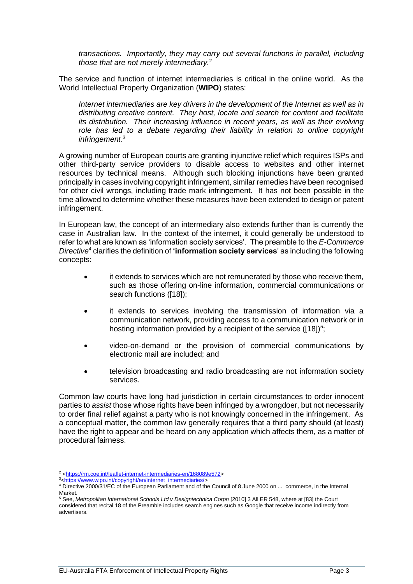*transactions. Importantly, they may carry out several functions in parallel, including those that are not merely intermediary.*<sup>2</sup>

The service and function of internet intermediaries is critical in the online world. As the World Intellectual Property Organization (**WIPO**) states:

*Internet intermediaries are key drivers in the development of the Internet as well as in distributing creative content. They host, locate and search for content and facilitate its distribution. Their increasing influence in recent years, as well as their evolving role has led to a debate regarding their liability in relation to online copyright infringement*. 3

A growing number of European courts are granting injunctive relief which requires ISPs and other third-party service providers to disable access to websites and other internet resources by technical means. Although such blocking injunctions have been granted principally in cases involving copyright infringement, similar remedies have been recognised for other civil wrongs, including trade mark infringement. It has not been possible in the time allowed to determine whether these measures have been extended to design or patent infringement.

In European law, the concept of an intermediary also extends further than is currently the case in Australian law. In the context of the internet, it could generally be understood to refer to what are known as 'information society services'. The preamble to the *E-Commerce Directive<sup>4</sup>* clarifies the definition of **'information society services**' as including the following concepts:

- it extends to services which are not remunerated by those who receive them, such as those offering on-line information, commercial communications or search functions ([18]);
- it extends to services involving the transmission of information via a communication network, providing access to a communication network or in hosting information provided by a recipient of the service  $([18])^{5}$ ;
- video-on-demand or the provision of commercial communications by electronic mail are included; and
- television broadcasting and radio broadcasting are not information society services.

Common law courts have long had jurisdiction in certain circumstances to order innocent parties to *assist* those whose rights have been infringed by a wrongdoer, but not necessarily to order final relief against a party who is not knowingly concerned in the infringement. As a conceptual matter, the common law generally requires that a third party should (at least) have the right to appear and be heard on any application which affects them, as a matter of procedural fairness.

<sup>&</sup>lt;sup>2</sup> [<https://rm.coe.int/leaflet-internet-intermediaries-en/168089e572>](https://rm.coe.int/leaflet-internet-intermediaries-en/168089e572)

<sup>3</sup>[<https://www.wipo.int/copyright/en/internet\\_intermediaries/>](https://www.wipo.int/copyright/en/internet_intermediaries/)

<sup>4</sup> Directive 2000/31/EC of the European Parliament and of the Council of 8 June 2000 on ... commerce, in the Internal Market.

<sup>5</sup> See, *Metropolitan International Schools Ltd v Designtechnica Corpn* [2010] 3 All ER 548, where at [83] the Court considered that recital 18 of the Preamble includes search engines such as Google that receive income indirectly from advertisers.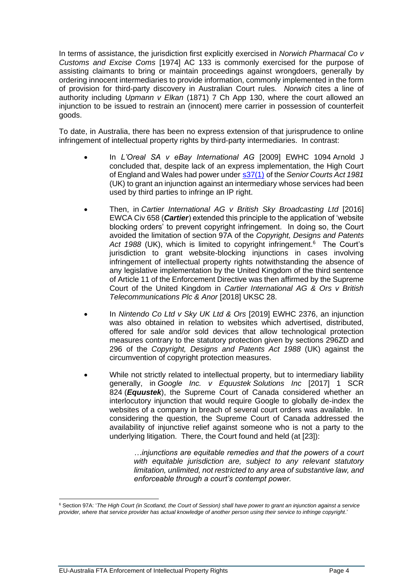In terms of assistance, the jurisdiction first explicitly exercised in *Norwich Pharmacal Co v Customs and Excise Coms* [1974] AC 133 is commonly exercised for the purpose of assisting claimants to bring or maintain proceedings against wrongdoers, generally by ordering innocent intermediaries to provide information, commonly implemented in the form of provision for third-party discovery in Australian Court rules. *Norwich* cites a line of authority including *Upmann v Elkan* (1871) 7 Ch App 130, where the court allowed an injunction to be issued to restrain an (innocent) mere carrier in possession of counterfeit goods.

To date, in Australia, there has been no express extension of that jurisprudence to online infringement of intellectual property rights by third-party intermediaries. In contrast:

- In *L'Oreal SA v eBay International AG* [2009] EWHC 1094 Arnold J concluded that, despite lack of an express implementation, the High Court of England and Wales had power under [s37\(1\)](http://www.legislation.gov.uk/ukpga/1981/54/section/37) of the *Senior Courts Act 1981* (UK) to grant an injunction against an intermediary whose services had been used by third parties to infringe an IP right.
- Then, in *Cartier International AG v British Sky Broadcasting Ltd* [2016] EWCA Civ 658 (*Cartier*) extended this principle to the application of 'website blocking orders' to prevent copyright infringement. In doing so, the Court avoided the limitation of section 97A of the *Copyright, Designs and Patents*  Act 1988 (UK), which is limited to copyright infringement.<sup>6</sup> The Court's jurisdiction to grant website-blocking injunctions in cases involving infringement of intellectual property rights notwithstanding the absence of any legislative implementation by the United Kingdom of the third sentence of Article 11 of the Enforcement Directive was then affirmed by the Supreme Court of the United Kingdom in *Cartier International AG & Ors v British Telecommunications Plc & Anor* [2018] UKSC 28.
- In *Nintendo Co Ltd v Sky UK Ltd & Ors* [2019] EWHC 2376, an injunction was also obtained in relation to websites which advertised, distributed, offered for sale and/or sold devices that allow technological protection measures contrary to the statutory protection given by sections 296ZD and 296 of the *Copyright, Designs and Patents Act 1988* (UK) against the circumvention of copyright protection measures.
- While not strictly related to intellectual property, but to intermediary liability generally, in *Google Inc. v Equustek Solutions Inc* [2017] 1 SCR 824 (*Equustek*), the Supreme Court of Canada considered whether an interlocutory injunction that would require Google to globally de-index the websites of a company in breach of several court orders was available. In considering the question, the Supreme Court of Canada addressed the availability of injunctive relief against someone who is not a party to the underlying litigation. There, the Court found and held (at [23]):

*…injunctions are equitable remedies and that the powers of a court with equitable jurisdiction are, subject to any relevant statutory limitation, unlimited, not restricted to any area of substantive law, and enforceable through a court's contempt power.*

<sup>6</sup> Section 97A: '*The High Court (in Scotland, the Court of Session) shall have power to grant an injunction against a service provider, where that service provider has actual knowledge of another person using their service to infringe copyright*.'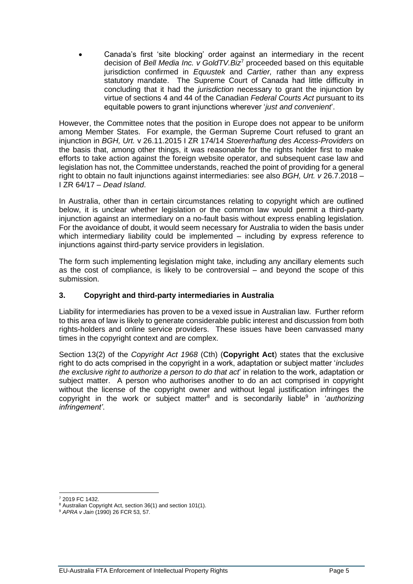• Canada's first 'site blocking' order against an intermediary in the recent decision of *Bell Media Inc. v GoldTV.Biz*<sup>7</sup> proceeded based on this equitable jurisdiction confirmed in *Equustek* and *Cartier,* rather than any express statutory mandate. The Supreme Court of Canada had little difficulty in concluding that it had the *jurisdiction* necessary to grant the injunction by virtue of sections 4 and 44 of the Canadian *Federal Courts Act* pursuant to its equitable powers to grant injunctions wherever '*just and convenient*'.

However, the Committee notes that the position in Europe does not appear to be uniform among Member States. For example, the German Supreme Court refused to grant an injunction in *BGH, Urt.* v 26.11.2015 I ZR 174/14 *Stoererhaftung des Access-Providers* on the basis that, among other things, it was reasonable for the rights holder first to make efforts to take action against the foreign website operator, and subsequent case law and legislation has not, the Committee understands, reached the point of providing for a general right to obtain no fault injunctions against intermediaries: see also *BGH, Urt. v* 26.7.2018 – I ZR 64/17 – *Dead Island*.

In Australia, other than in certain circumstances relating to copyright which are outlined below, it is unclear whether legislation or the common law would permit a third-party injunction against an intermediary on a no-fault basis without express enabling legislation. For the avoidance of doubt, it would seem necessary for Australia to widen the basis under which intermediary liability could be implemented – including by express reference to injunctions against third-party service providers in legislation.

The form such implementing legislation might take, including any ancillary elements such as the cost of compliance, is likely to be controversial – and beyond the scope of this submission.

# **3. Copyright and third-party intermediaries in Australia**

Liability for intermediaries has proven to be a vexed issue in Australian law. Further reform to this area of law is likely to generate considerable public interest and discussion from both rights-holders and online service providers. These issues have been canvassed many times in the copyright context and are complex.

Section 13(2) of the *Copyright Act 1968* (Cth) (**Copyright Act**) states that the exclusive right to do acts comprised in the copyright in a work, adaptation or subject matter '*includes the exclusive right to authorize a person to do that act*' in relation to the work, adaptation or subject matter. A person who authorises another to do an act comprised in copyright without the license of the copyright owner and without legal justification infringes the copyright in the work or subject matter<sup>8</sup> and is secondarily liable<sup>9</sup> in 'authorizing *infringement'*.

<sup>7</sup> 2019 FC 1432.

<sup>8</sup> Australian Copyright Act, section 36(1) and section 101(1).

<sup>9</sup> *APRA v Jain* (1990) 26 FCR 53, 57.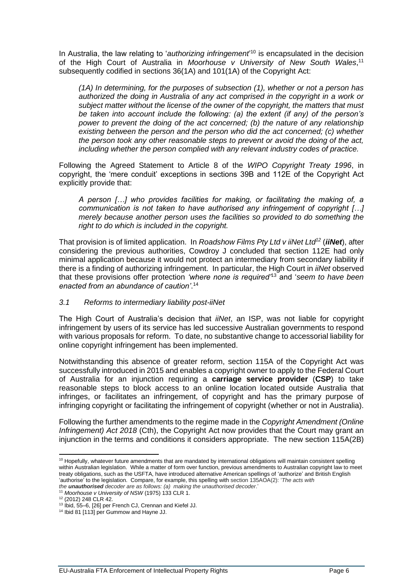In Australia, the law relating to '*authorizing infringement*' <sup>10</sup> is encapsulated in the decision of the High Court of Australia in *Moorhouse v University of New South Wales*, 11 subsequently codified in sections 36(1A) and 101(1A) of the Copyright Act:

*(1A) In determining, for the purposes of subsection (1), whether or not a person has authorized the doing in Australia of any act comprised in the copyright in a work or subject matter without the license of the owner of the copyright, the matters that must be taken into account include the following: (a) the extent (if any) of the person's power to prevent the doing of the act concerned; (b) the nature of any relationship existing between the person and the person who did the act concerned; (c) whether the person took any other reasonable steps to prevent or avoid the doing of the act, including whether the person complied with any relevant industry codes of practice.*

Following the Agreed Statement to Article 8 of the *WIPO Copyright Treaty 1996*, in copyright, the 'mere conduit' exceptions in sections 39B and 112E of the Copyright Act explicitly provide that:

*A person […] who provides facilities for making, or facilitating the making of, a communication is not taken to have authorised any infringement of copyright […] merely because another person uses the facilities so provided to do something the right to do which is included in the copyright.* 

That provision is of limited application. In *Roadshow Films Pty Ltd v iiNet Ltd<sup>12</sup>* (*iiNet*), after considering the previous authorities, Cowdroy J concluded that section 112E had only minimal application because it would not protect an intermediary from secondary liability if there is a finding of authorizing infringement. In particular, the High Court in *iiNet* observed that these provisions offer protection *'where none is required'*<sup>13</sup> and '*seem to have been enacted from an abundance of caution'*. 14

### *3.1 Reforms to intermediary liability post-iiNet*

The High Court of Australia's decision that *iiNet*, an ISP, was not liable for copyright infringement by users of its service has led successive Australian governments to respond with various proposals for reform. To date, no substantive change to accessorial liability for online copyright infringement has been implemented.

Notwithstanding this absence of greater reform, section 115A of the Copyright Act was successfully introduced in 2015 and enables a copyright owner to apply to the Federal Court of Australia for an injunction requiring a **carriage service provider** (**CSP**) to take reasonable steps to block access to an online location located outside Australia that infringes, or facilitates an infringement, of copyright and has the primary purpose of infringing copyright or facilitating the infringement of copyright (whether or not in Australia).

Following the further amendments to the regime made in the *Copyright Amendment (Online Infringement) Act 2018* (Cth), the Copyright Act now provides that the Court may grant an injunction in the terms and conditions it considers appropriate. The new section 115A(2B)

<sup>&</sup>lt;sup>10</sup> Hopefully, whatever future amendments that are mandated by international obligations will maintain consistent spelling within Australian legislation. While a matter of form over function, previous amendments to Australian copyright law to meet treaty obligations, such as the USFTA, have introduced alternative American spellings of 'authorize' and British English 'authorise' to the legislation. Compare, for example, this spelling with section 135AOA(2): '*The acts with the unauthorised decoder are as follows: (a) making the unauthorised decoder*.'

<sup>&</sup>lt;sup>11</sup> Moorhouse v University of NSW (1975) 133 CLR 1.

<sup>12</sup> (2012) 248 CLR 42.

<sup>13</sup> Ibid, 55–6, [26] per French CJ, Crennan and Kiefel JJ.

<sup>14</sup> Ibid 81 [113] per Gummow and Hayne JJ.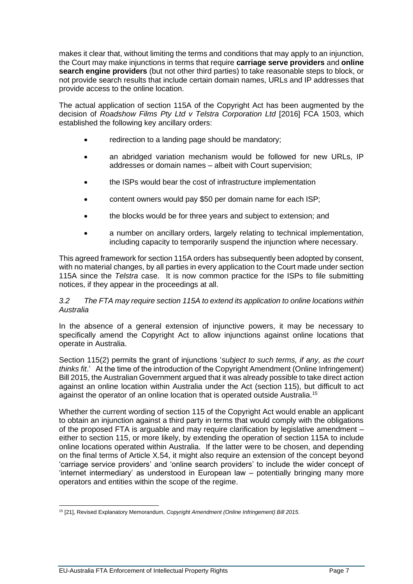makes it clear that, without limiting the terms and conditions that may apply to an injunction, the Court may make injunctions in terms that require **carriage serve providers** and **online search engine providers** (but not other third parties) to take reasonable steps to block, or not provide search results that include certain domain names, URLs and IP addresses that provide access to the online location.

The actual application of section 115A of the Copyright Act has been augmented by the decision of *Roadshow Films Pty Ltd v Telstra Corporation Ltd* [2016] FCA 1503, which established the following key ancillary orders:

- redirection to a landing page should be mandatory;
- an abridged variation mechanism would be followed for new URLs, IP addresses or domain names – albeit with Court supervision;
- the ISPs would bear the cost of infrastructure implementation
- content owners would pay \$50 per domain name for each ISP;
- the blocks would be for three years and subject to extension; and
- a number on ancillary orders, largely relating to technical implementation, including capacity to temporarily suspend the injunction where necessary.

This agreed framework for section 115A orders has subsequently been adopted by consent, with no material changes, by all parties in every application to the Court made under section 115A since the *Telstra* case. It is now common practice for the ISPs to file submitting notices, if they appear in the proceedings at all.

### *3.2 The FTA may require section 115A to extend its application to online locations within Australia*

In the absence of a general extension of injunctive powers, it may be necessary to specifically amend the Copyright Act to allow injunctions against online locations that operate in Australia.

Section 115(2) permits the grant of injunctions '*subject to such terms, if any, as the court thinks fit*.' At the time of the introduction of the Copyright Amendment (Online Infringement) Bill 2015, the Australian Government argued that it was already possible to take direct action against an online location within Australia under the Act (section 115), but difficult to act against the operator of an online location that is operated outside Australia.<sup>15</sup>

Whether the current wording of section 115 of the Copyright Act would enable an applicant to obtain an injunction against a third party in terms that would comply with the obligations of the proposed FTA is arguable and may require clarification by legislative amendment – either to section 115, or more likely, by extending the operation of section 115A to include online locations operated within Australia. If the latter were to be chosen, and depending on the final terms of Article X.54, it might also require an extension of the concept beyond 'carriage service providers' and 'online search providers' to include the wider concept of 'internet intermediary' as understood in European law – potentially bringing many more operators and entities within the scope of the regime.

<sup>15</sup> [21], Revised Explanatory Memorandum, *Copyright Amendment (Online Infringement) Bill 2015.*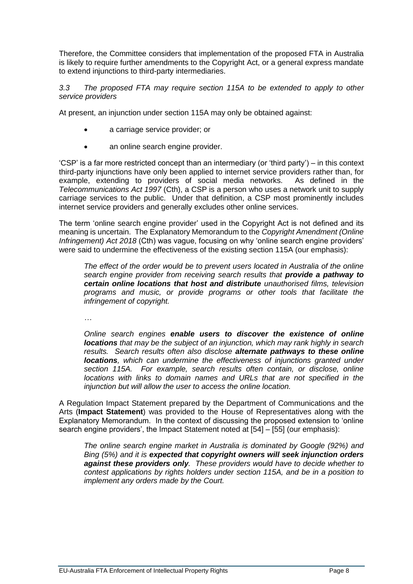Therefore, the Committee considers that implementation of the proposed FTA in Australia is likely to require further amendments to the Copyright Act, or a general express mandate to extend injunctions to third-party intermediaries.

*3.3 The proposed FTA may require section 115A to be extended to apply to other service providers*

At present, an injunction under section 115A may only be obtained against:

- a carriage service provider; or
- an online search engine provider.

'CSP' is a far more restricted concept than an intermediary (or 'third party') – in this context third-party injunctions have only been applied to internet service providers rather than, for example, extending to providers of social media networks. As defined in the *Telecommunications Act 1997* (Cth), a CSP is a person who uses a network unit to supply carriage services to the public. Under that definition, a CSP most prominently includes internet service providers and generally excludes other online services.

The term 'online search engine provider' used in the Copyright Act is not defined and its meaning is uncertain. The Explanatory Memorandum to the *Copyright Amendment (Online Infringement) Act 2018* (Cth) was vague, focusing on why 'online search engine providers' were said to undermine the effectiveness of the existing section 115A (our emphasis):

*The effect of the order would be to prevent users located in Australia of the online search engine provider from receiving search results that provide a pathway to certain online locations that host and distribute unauthorised films, television programs and music, or provide programs or other tools that facilitate the infringement of copyright.*

*…*

*Online search engines enable users to discover the existence of online locations that may be the subject of an injunction, which may rank highly in search results. Search results often also disclose alternate pathways to these online locations, which can undermine the effectiveness of injunctions granted under section 115A. For example, search results often contain, or disclose, online locations with links to domain names and URLs that are not specified in the injunction but will allow the user to access the online location.*

A Regulation Impact Statement prepared by the Department of Communications and the Arts (**Impact Statement**) was provided to the House of Representatives along with the Explanatory Memorandum. In the context of discussing the proposed extension to 'online search engine providers', the Impact Statement noted at [54] – [55] (our emphasis):

*The online search engine market in Australia is dominated by Google (92%) and Bing (5%) and it is expected that copyright owners will seek injunction orders against these providers only. These providers would have to decide whether to contest applications by rights holders under section 115A, and be in a position to implement any orders made by the Court.*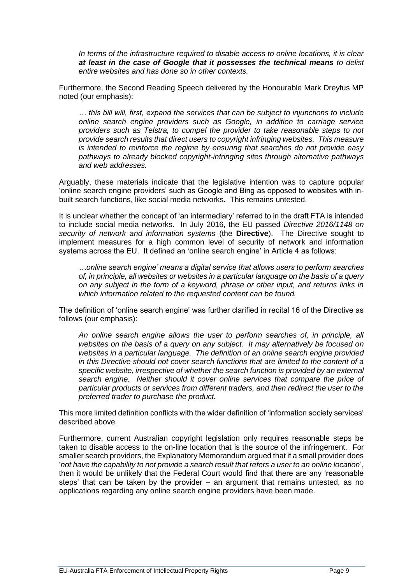*In terms of the infrastructure required to disable access to online locations, it is clear at least in the case of Google that it possesses the technical means to delist entire websites and has done so in other contexts.*

Furthermore, the Second Reading Speech delivered by the Honourable Mark Dreyfus MP noted (our emphasis):

*… this bill will, first, expand the services that can be subject to injunctions to include online search engine providers such as Google, in addition to carriage service providers such as Telstra, to compel the provider to take reasonable steps to not provide search results that direct users to copyright infringing websites. This measure is intended to reinforce the regime by ensuring that searches do not provide easy pathways to already blocked copyright-infringing sites through alternative pathways and web addresses.*

Arguably, these materials indicate that the legislative intention was to capture popular 'online search engine providers' such as Google and Bing as opposed to websites with inbuilt search functions, like social media networks. This remains untested.

It is unclear whether the concept of 'an intermediary' referred to in the draft FTA is intended to include social media networks. In July 2016, the EU passed *Directive 2016/1148 on security of network and information systems* (the **Directive**). The Directive sought to implement measures for a high common level of security of network and information systems across the EU. It defined an 'online search engine' in Article 4 as follows:

*…online search engine' means a digital service that allows users to perform searches of, in principle, all websites or websites in a particular language on the basis of a query on any subject in the form of a keyword, phrase or other input, and returns links in which information related to the requested content can be found.*

The definition of 'online search engine' was further clarified in recital 16 of the Directive as follows (our emphasis):

*An online search engine allows the user to perform searches of, in principle, all websites on the basis of a query on any subject. It may alternatively be focused on websites in a particular language. The definition of an online search engine provided in this Directive should not cover search functions that are limited to the content of a specific website, irrespective of whether the search function is provided by an external search engine. Neither should it cover online services that compare the price of particular products or services from different traders, and then redirect the user to the preferred trader to purchase the product.*

This more limited definition conflicts with the wider definition of 'information society services' described above.

Furthermore, current Australian copyright legislation only requires reasonable steps be taken to disable access to the on-line location that is the source of the infringement. For smaller search providers, the Explanatory Memorandum argued that if a small provider does '*not have the capability to not provide a search result that refers a user to an online location*', then it would be unlikely that the Federal Court would find that there are any 'reasonable steps' that can be taken by the provider – an argument that remains untested, as no applications regarding any online search engine providers have been made.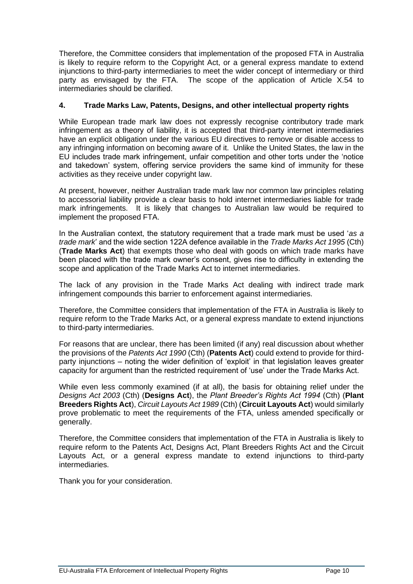Therefore, the Committee considers that implementation of the proposed FTA in Australia is likely to require reform to the Copyright Act, or a general express mandate to extend injunctions to third-party intermediaries to meet the wider concept of intermediary or third party as envisaged by the FTA. The scope of the application of Article X.54 to intermediaries should be clarified.

## **4. Trade Marks Law, Patents, Designs, and other intellectual property rights**

While European trade mark law does not expressly recognise contributory trade mark infringement as a theory of liability, it is accepted that third-party internet intermediaries have an explicit obligation under the various EU directives to remove or disable access to any infringing information on becoming aware of it. Unlike the United States, the law in the EU includes trade mark infringement, unfair competition and other torts under the 'notice and takedown' system, offering service providers the same kind of immunity for these activities as they receive under copyright law.

At present, however, neither Australian trade mark law nor common law principles relating to accessorial liability provide a clear basis to hold internet intermediaries liable for trade mark infringements. It is likely that changes to Australian law would be required to implement the proposed FTA.

In the Australian context, the statutory requirement that a trade mark must be used '*as a trade mark*' and the wide section 122A defence available in the *Trade Marks Act 1995* (Cth) (**Trade Marks Act**) that exempts those who deal with goods on which trade marks have been placed with the trade mark owner's consent, gives rise to difficulty in extending the scope and application of the Trade Marks Act to internet intermediaries.

The lack of any provision in the Trade Marks Act dealing with indirect trade mark infringement compounds this barrier to enforcement against intermediaries.

Therefore, the Committee considers that implementation of the FTA in Australia is likely to require reform to the Trade Marks Act, or a general express mandate to extend injunctions to third-party intermediaries.

For reasons that are unclear, there has been limited (if any) real discussion about whether the provisions of the *Patents Act 1990* (Cth) (**Patents Act**) could extend to provide for thirdparty injunctions – noting the wider definition of 'exploit' in that legislation leaves greater capacity for argument than the restricted requirement of 'use' under the Trade Marks Act.

While even less commonly examined (if at all), the basis for obtaining relief under the *Designs Act 2003* (Cth) (**Designs Act**), the *Plant Breeder's Rights Act 1994* (Cth) (**Plant Breeders Rights Act**), *Circuit Layouts Act 1989* (Cth) (**Circuit Layouts Act**) would similarly prove problematic to meet the requirements of the FTA, unless amended specifically or generally.

Therefore, the Committee considers that implementation of the FTA in Australia is likely to require reform to the Patents Act, Designs Act, Plant Breeders Rights Act and the Circuit Layouts Act, or a general express mandate to extend injunctions to third-party intermediaries.

Thank you for your consideration.